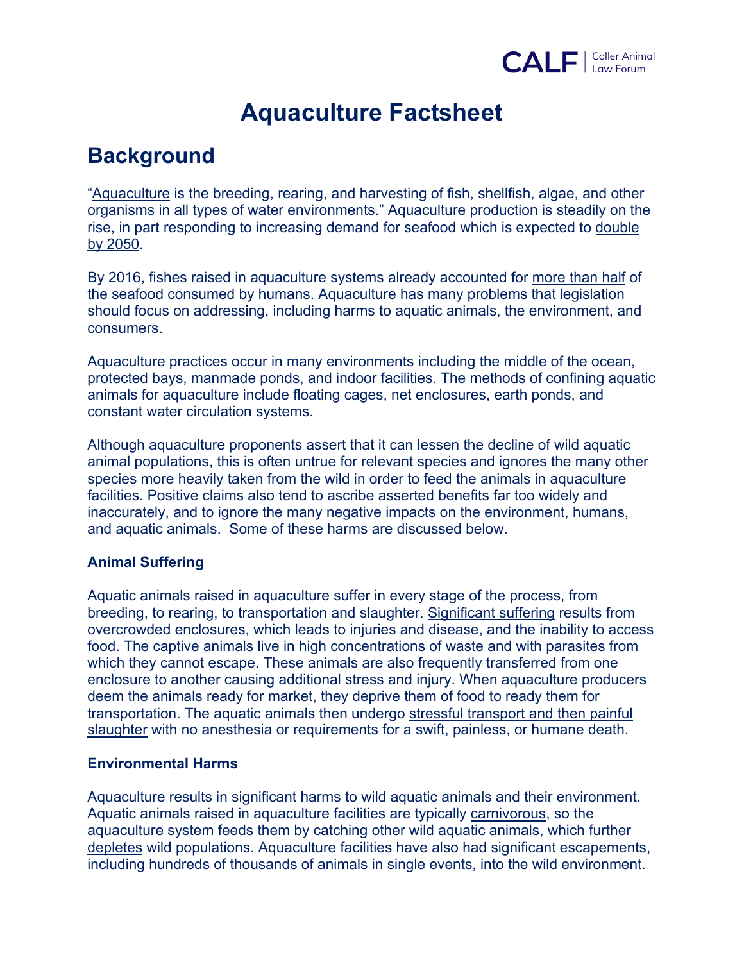

# **Aquaculture Factsheet**

## **Background**

"Aquaculture is the breeding, rearing, and harvesting of fish, shellfish, algae, and other organisms in all types of water environments." Aquaculture production is steadily on the rise, in part responding to increasing demand for seafood which is expected to double by 2050.

By 2016, fishes raised in aquaculture systems already accounted for more than half of the seafood consumed by humans. Aquaculture has many problems that legislation should focus on addressing, including harms to aquatic animals, the environment, and consumers.

Aquaculture practices occur in many environments including the middle of the ocean, protected bays, manmade ponds, and indoor facilities. The methods of confining aquatic animals for aquaculture include floating cages, net enclosures, earth ponds, and constant water circulation systems.

Although aquaculture proponents assert that it can lessen the decline of wild aquatic animal populations, this is often untrue for relevant species and ignores the many other species more heavily taken from the wild in order to feed the animals in aquaculture facilities. Positive claims also tend to ascribe asserted benefits far too widely and inaccurately, and to ignore the many negative impacts on the environment, humans, and aquatic animals. Some of these harms are discussed below.

### **Animal Suffering**

Aquatic animals raised in aquaculture suffer in every stage of the process, from breeding, to rearing, to transportation and slaughter. Significant suffering results from overcrowded enclosures, which leads to injuries and disease, and the inability to access food. The captive animals live in high concentrations of waste and with parasites from which they cannot escape. These animals are also frequently transferred from one enclosure to another causing additional stress and injury. When aquaculture producers deem the animals ready for market, they deprive them of food to ready them for transportation. The aquatic animals then undergo stressful transport and then painful slaughter with no anesthesia or requirements for a swift, painless, or humane death.

### **Environmental Harms**

Aquaculture results in significant harms to wild aquatic animals and their environment. Aquatic animals raised in aquaculture facilities are typically carnivorous, so the aquaculture system feeds them by catching other wild aquatic animals, which further depletes wild populations. Aquaculture facilities have also had significant escapements, including hundreds of thousands of animals in single events, into the wild environment.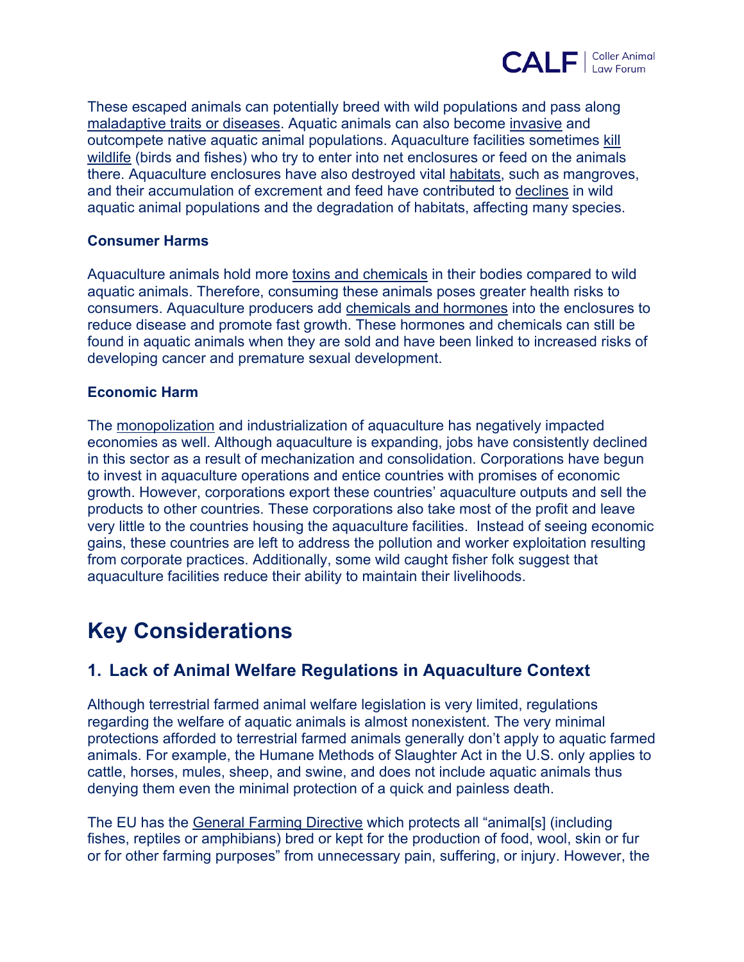

These escaped animals can potentially breed with wild populations and pass along maladaptive traits or diseases. Aquatic animals can also become invasive and outcompete native aquatic animal populations. Aquaculture facilities sometimes kill wildlife (birds and fishes) who try to enter into net enclosures or feed on the animals there. Aquaculture enclosures have also destroyed vital habitats, such as mangroves, and their accumulation of excrement and feed have contributed to declines in wild aquatic animal populations and the degradation of habitats, affecting many species.

#### **Consumer Harms**

Aquaculture animals hold more toxins and chemicals in their bodies compared to wild aquatic animals. Therefore, consuming these animals poses greater health risks to consumers. Aquaculture producers add chemicals and hormones into the enclosures to reduce disease and promote fast growth. These hormones and chemicals can still be found in aquatic animals when they are sold and have been linked to increased risks of developing cancer and premature sexual development.

#### **Economic Harm**

The monopolization and industrialization of aquaculture has negatively impacted economies as well. Although aquaculture is expanding, jobs have consistently declined in this sector as a result of mechanization and consolidation. Corporations have begun to invest in aquaculture operations and entice countries with promises of economic growth. However, corporations export these countries' aquaculture outputs and sell the products to other countries. These corporations also take most of the profit and leave very little to the countries housing the aquaculture facilities. Instead of seeing economic gains, these countries are left to address the pollution and worker exploitation resulting from corporate practices. Additionally, some wild caught fisher folk suggest that aquaculture facilities reduce their ability to maintain their livelihoods.

## **Key Considerations**

## **1. Lack of Animal Welfare Regulations in Aquaculture Context**

Although terrestrial farmed animal welfare legislation is very limited, regulations regarding the welfare of aquatic animals is almost nonexistent. The very minimal protections afforded to terrestrial farmed animals generally don't apply to aquatic farmed animals. For example, the Humane Methods of Slaughter Act in the U.S. only applies to cattle, horses, mules, sheep, and swine, and does not include aquatic animals thus denying them even the minimal protection of a quick and painless death.

The EU has the General Farming Directive which protects all "animal[s] (including fishes, reptiles or amphibians) bred or kept for the production of food, wool, skin or fur or for other farming purposes" from unnecessary pain, suffering, or injury. However, the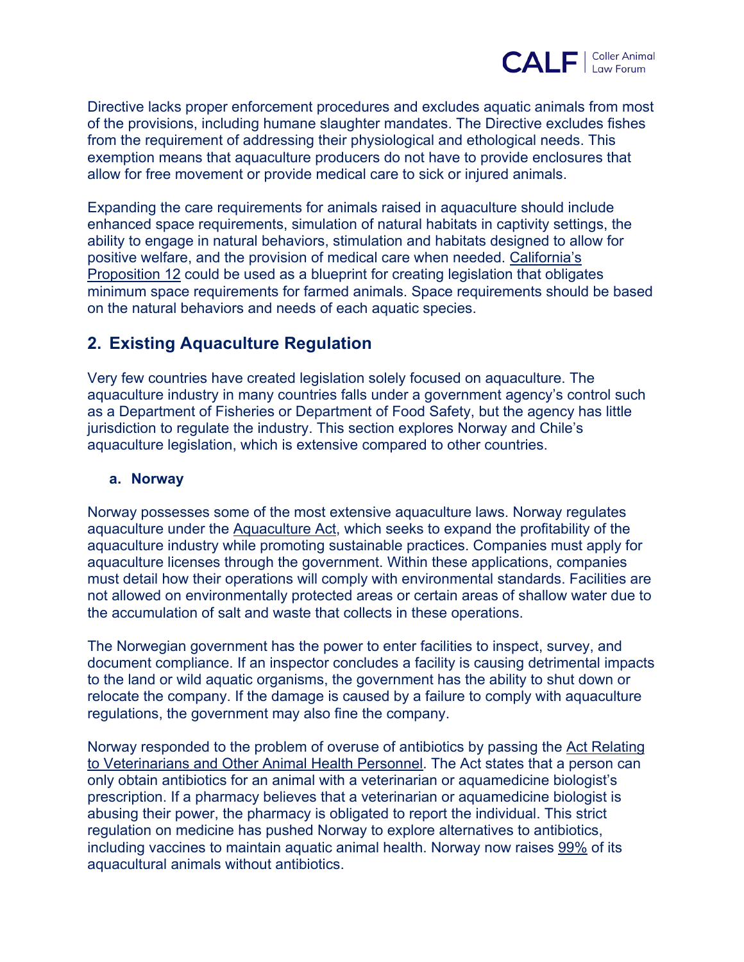

Directive lacks proper enforcement procedures and excludes aquatic animals from most of the provisions, including humane slaughter mandates. The Directive excludes fishes from the requirement of addressing their physiological and ethological needs. This exemption means that aquaculture producers do not have to provide enclosures that allow for free movement or provide medical care to sick or injured animals.

Expanding the care requirements for animals raised in aquaculture should include enhanced space requirements, simulation of natural habitats in captivity settings, the ability to engage in natural behaviors, stimulation and habitats designed to allow for positive welfare, and the provision of medical care when needed. California's Proposition 12 could be used as a blueprint for creating legislation that obligates minimum space requirements for farmed animals. Space requirements should be based on the natural behaviors and needs of each aquatic species.

## **2. Existing Aquaculture Regulation**

Very few countries have created legislation solely focused on aquaculture. The aquaculture industry in many countries falls under a government agency's control such as a Department of Fisheries or Department of Food Safety, but the agency has little jurisdiction to regulate the industry. This section explores Norway and Chile's aquaculture legislation, which is extensive compared to other countries.

#### **a. Norway**

Norway possesses some of the most extensive aquaculture laws. Norway regulates aquaculture under the Aquaculture Act, which seeks to expand the profitability of the aquaculture industry while promoting sustainable practices. Companies must apply for aquaculture licenses through the government. Within these applications, companies must detail how their operations will comply with environmental standards. Facilities are not allowed on environmentally protected areas or certain areas of shallow water due to the accumulation of salt and waste that collects in these operations.

The Norwegian government has the power to enter facilities to inspect, survey, and document compliance. If an inspector concludes a facility is causing detrimental impacts to the land or wild aquatic organisms, the government has the ability to shut down or relocate the company. If the damage is caused by a failure to comply with aquaculture regulations, the government may also fine the company.

Norway responded to the problem of overuse of antibiotics by passing the Act Relating to Veterinarians and Other Animal Health Personnel. The Act states that a person can only obtain antibiotics for an animal with a veterinarian or aquamedicine biologist's prescription. If a pharmacy believes that a veterinarian or aquamedicine biologist is abusing their power, the pharmacy is obligated to report the individual. This strict regulation on medicine has pushed Norway to explore alternatives to antibiotics, including vaccines to maintain aquatic animal health. Norway now raises 99% of its aquacultural animals without antibiotics.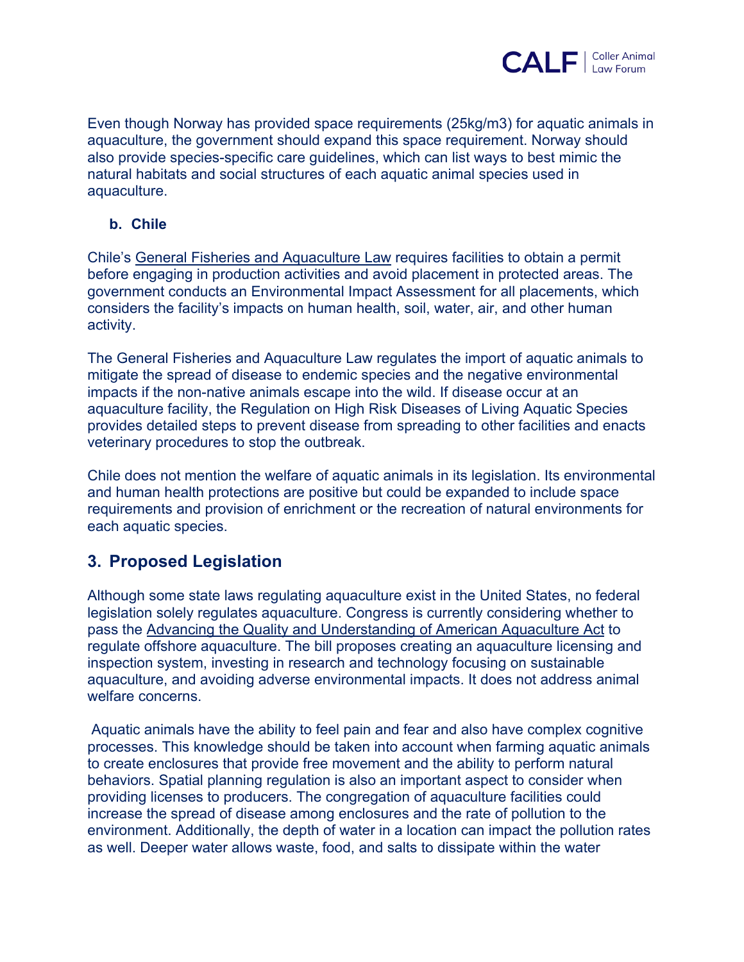

Even though Norway has provided space requirements (25kg/m3) for aquatic animals in aquaculture, the government should expand this space requirement. Norway should also provide species-specific care guidelines, which can list ways to best mimic the natural habitats and social structures of each aquatic animal species used in aquaculture.

### **b. Chile**

Chile's General Fisheries and Aquaculture Law requires facilities to obtain a permit before engaging in production activities and avoid placement in protected areas. The government conducts an Environmental Impact Assessment for all placements, which considers the facility's impacts on human health, soil, water, air, and other human activity.

The General Fisheries and Aquaculture Law regulates the import of aquatic animals to mitigate the spread of disease to endemic species and the negative environmental impacts if the non-native animals escape into the wild. If disease occur at an aquaculture facility, the Regulation on High Risk Diseases of Living Aquatic Species provides detailed steps to prevent disease from spreading to other facilities and enacts veterinary procedures to stop the outbreak.

Chile does not mention the welfare of aquatic animals in its legislation. Its environmental and human health protections are positive but could be expanded to include space requirements and provision of enrichment or the recreation of natural environments for each aquatic species.

## **3. Proposed Legislation**

Although some state laws regulating aquaculture exist in the United States, no federal legislation solely regulates aquaculture. Congress is currently considering whether to pass the Advancing the Quality and Understanding of American Aquaculture Act to regulate offshore aquaculture. The bill proposes creating an aquaculture licensing and inspection system, investing in research and technology focusing on sustainable aquaculture, and avoiding adverse environmental impacts. It does not address animal welfare concerns.

Aquatic animals have the ability to feel pain and fear and also have complex cognitive processes. This knowledge should be taken into account when farming aquatic animals to create enclosures that provide free movement and the ability to perform natural behaviors. Spatial planning regulation is also an important aspect to consider when providing licenses to producers. The congregation of aquaculture facilities could increase the spread of disease among enclosures and the rate of pollution to the environment. Additionally, the depth of water in a location can impact the pollution rates as well. Deeper water allows waste, food, and salts to dissipate within the water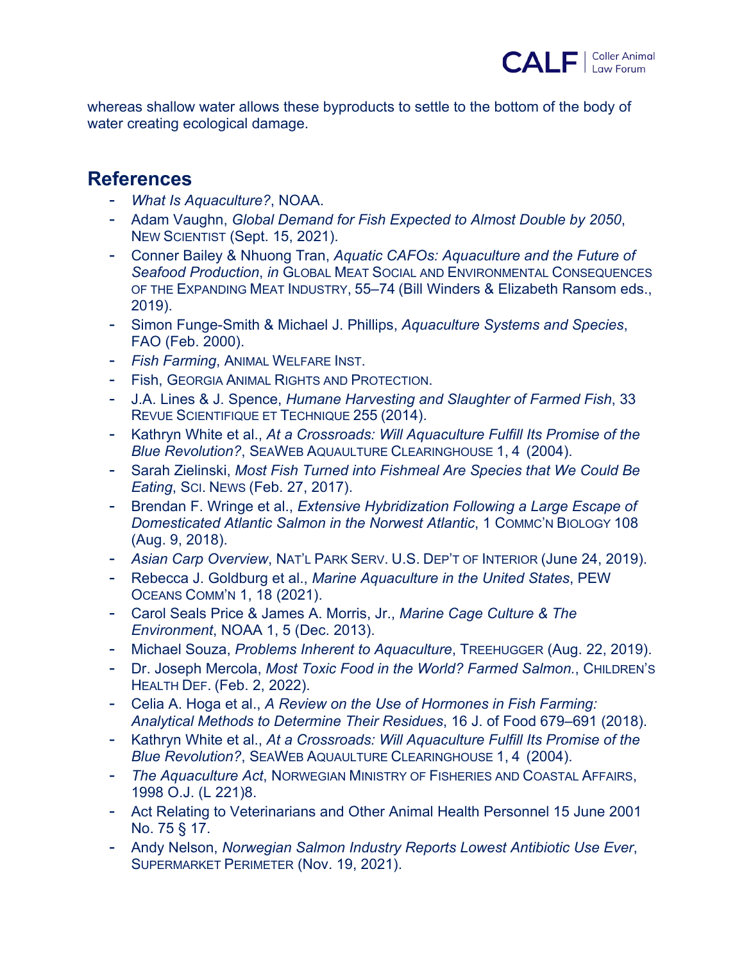

whereas shallow water allows these byproducts to settle to the bottom of the body of water creating ecological damage.

## **References**

- *What Is Aquaculture?*, NOAA.
- Adam Vaughn, *Global Demand for Fish Expected to Almost Double by 2050*, NEW SCIENTIST (Sept. 15, 2021).
- Conner Bailey & Nhuong Tran, *Aquatic CAFOs: Aquaculture and the Future of Seafood Production*, *in* GLOBAL MEAT SOCIAL AND ENVIRONMENTAL CONSEQUENCES OF THE EXPANDING MEAT INDUSTRY, 55–74 (Bill Winders & Elizabeth Ransom eds., 2019).
- Simon Funge-Smith & Michael J. Phillips, *Aquaculture Systems and Species*, FAO (Feb. 2000).
- *Fish Farming*, ANIMAL WELFARE INST.
- Fish, GEORGIA ANIMAL RIGHTS AND PROTECTION.
- J.A. Lines & J. Spence, *Humane Harvesting and Slaughter of Farmed Fish*, 33 REVUE SCIENTIFIQUE ET TECHNIQUE 255 (2014).
- Kathryn White et al., *At a Crossroads: Will Aquaculture Fulfill Its Promise of the Blue Revolution?*, SEAWEB AQUAULTURE CLEARINGHOUSE 1, 4 (2004).
- Sarah Zielinski, *Most Fish Turned into Fishmeal Are Species that We Could Be Eating*, SCI. NEWS (Feb. 27, 2017).
- Brendan F. Wringe et al., *Extensive Hybridization Following a Large Escape of Domesticated Atlantic Salmon in the Norwest Atlantic*, 1 COMMC'N BIOLOGY 108 (Aug. 9, 2018).
- *Asian Carp Overview*, NAT'L PARK SERV. U.S. DEP'T OF INTERIOR (June 24, 2019).
- Rebecca J. Goldburg et al., *Marine Aquaculture in the United States*, PEW OCEANS COMM'N 1, 18 (2021).
- Carol Seals Price & James A. Morris, Jr., *Marine Cage Culture & The Environment*, NOAA 1, 5 (Dec. 2013).
- Michael Souza, *Problems Inherent to Aquaculture*, TREEHUGGER (Aug. 22, 2019).
- Dr. Joseph Mercola, *Most Toxic Food in the World? Farmed Salmon.*, CHILDREN'S HEALTH DEF. (Feb. 2, 2022).
- Celia A. Hoga et al., *A Review on the Use of Hormones in Fish Farming: Analytical Methods to Determine Their Residues*, 16 J. of Food 679–691 (2018).
- Kathryn White et al., *At a Crossroads: Will Aquaculture Fulfill Its Promise of the Blue Revolution?*, SEAWEB AQUAULTURE CLEARINGHOUSE 1, 4 (2004).
- *The Aquaculture Act*, NORWEGIAN MINISTRY OF FISHERIES AND COASTAL AFFAIRS, 1998 O.J. (L 221)8.
- Act Relating to Veterinarians and Other Animal Health Personnel 15 June 2001 No. 75 § 17.
- Andy Nelson, *Norwegian Salmon Industry Reports Lowest Antibiotic Use Ever*, SUPERMARKET PERIMETER (Nov. 19, 2021).